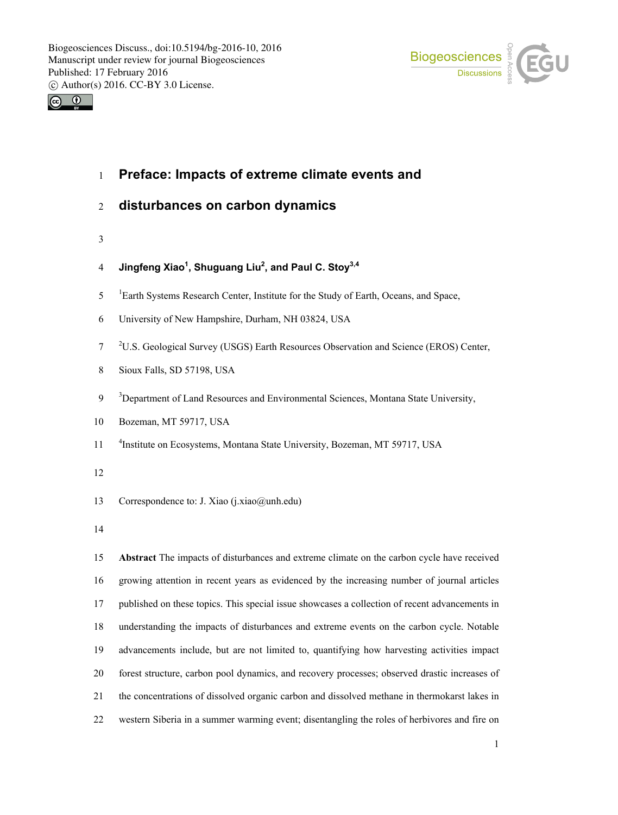



- **Preface: Impacts of extreme climate events and**
- **disturbances on carbon dynamics**
- 
- **Jingfeng Xiao1 , Shuguang Liu2 , and Paul C. Stoy3,4**
- <sup>1</sup> Earth Systems Research Center, Institute for the Study of Earth, Oceans, and Space,
- University of New Hampshire, Durham, NH 03824, USA
- <sup>2</sup> U.S. Geological Survey (USGS) Earth Resources Observation and Science (EROS) Center,
- Sioux Falls, SD 57198, USA
- <sup>3</sup> Department of Land Resources and Environmental Sciences, Montana State University,
- Bozeman, MT 59717, USA
- <sup>4</sup> 11 <sup>4</sup> 11 Institute on Ecosystems, Montana State University, Bozeman, MT 59717, USA
- 
- 13 Correspondence to: J. Xiao (j.xiao@unh.edu)
- 

 **Abstract** The impacts of disturbances and extreme climate on the carbon cycle have received growing attention in recent years as evidenced by the increasing number of journal articles published on these topics. This special issue showcases a collection of recent advancements in understanding the impacts of disturbances and extreme events on the carbon cycle. Notable advancements include, but are not limited to, quantifying how harvesting activities impact forest structure, carbon pool dynamics, and recovery processes; observed drastic increases of the concentrations of dissolved organic carbon and dissolved methane in thermokarst lakes in western Siberia in a summer warming event; disentangling the roles of herbivores and fire on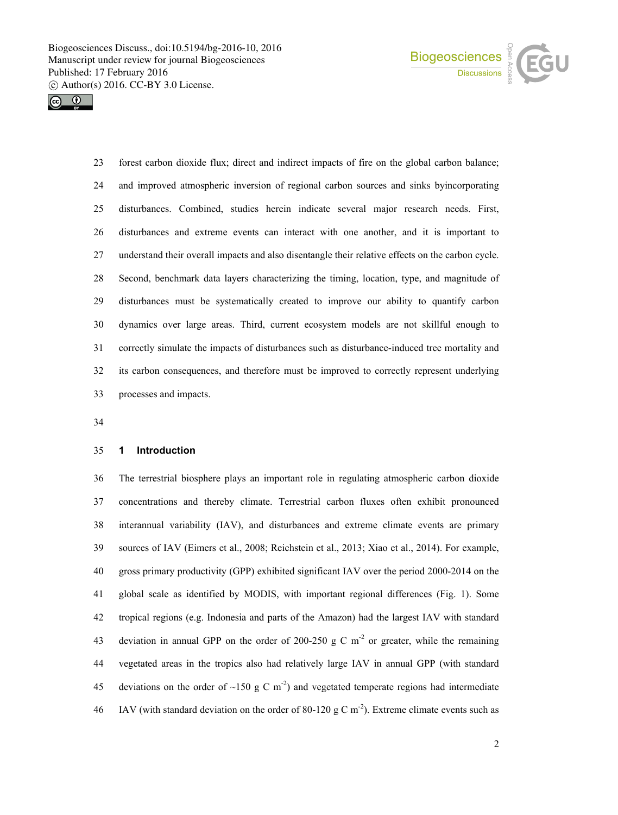



 forest carbon dioxide flux; direct and indirect impacts of fire on the global carbon balance; and improved atmospheric inversion of regional carbon sources and sinks byincorporating disturbances. Combined, studies herein indicate several major research needs. First, disturbances and extreme events can interact with one another, and it is important to understand their overall impacts and also disentangle their relative effects on the carbon cycle. Second, benchmark data layers characterizing the timing, location, type, and magnitude of disturbances must be systematically created to improve our ability to quantify carbon dynamics over large areas. Third, current ecosystem models are not skillful enough to correctly simulate the impacts of disturbances such as disturbance-induced tree mortality and its carbon consequences, and therefore must be improved to correctly represent underlying processes and impacts.

#### **1 Introduction**

 The terrestrial biosphere plays an important role in regulating atmospheric carbon dioxide concentrations and thereby climate. Terrestrial carbon fluxes often exhibit pronounced interannual variability (IAV), and disturbances and extreme climate events are primary sources of IAV (Eimers et al., 2008; Reichstein et al., 2013; Xiao et al., 2014). For example, gross primary productivity (GPP) exhibited significant IAV over the period 2000-2014 on the global scale as identified by MODIS, with important regional differences (Fig. 1). Some tropical regions (e.g. Indonesia and parts of the Amazon) had the largest IAV with standard 43 deviation in annual GPP on the order of 200-250 g C  $m<sup>2</sup>$  or greater, while the remaining vegetated areas in the tropics also had relatively large IAV in annual GPP (with standard 45 deviations on the order of ~150 g C m<sup>-2</sup>) and vegetated temperate regions had intermediate IAV (with standard deviation on the order of 80-120 g C m<sup>-2</sup>). Extreme climate events such as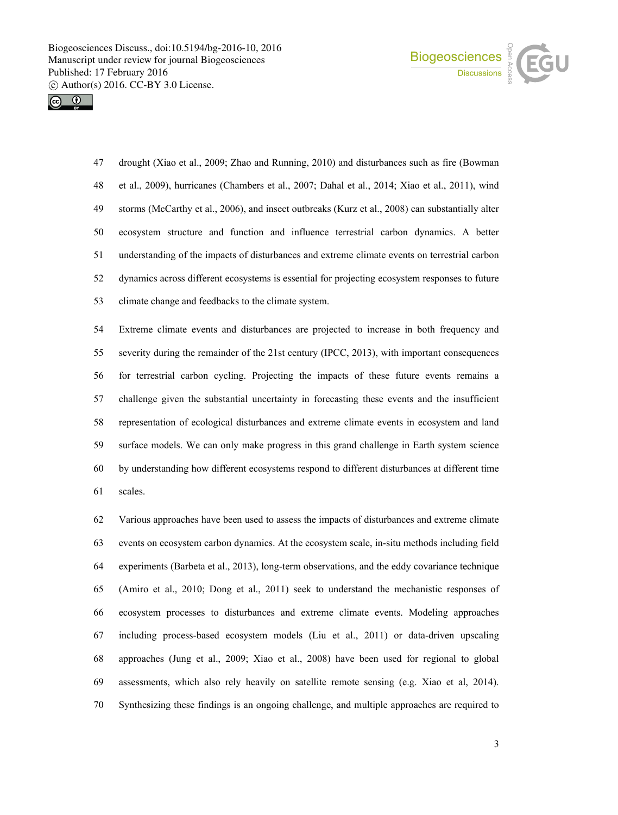



 drought (Xiao et al., 2009; Zhao and Running, 2010) and disturbances such as fire (Bowman et al., 2009), hurricanes (Chambers et al., 2007; Dahal et al., 2014; Xiao et al., 2011), wind storms (McCarthy et al., 2006), and insect outbreaks (Kurz et al., 2008) can substantially alter ecosystem structure and function and influence terrestrial carbon dynamics. A better understanding of the impacts of disturbances and extreme climate events on terrestrial carbon dynamics across different ecosystems is essential for projecting ecosystem responses to future climate change and feedbacks to the climate system.

 Extreme climate events and disturbances are projected to increase in both frequency and severity during the remainder of the 21st century (IPCC, 2013), with important consequences for terrestrial carbon cycling. Projecting the impacts of these future events remains a challenge given the substantial uncertainty in forecasting these events and the insufficient representation of ecological disturbances and extreme climate events in ecosystem and land surface models. We can only make progress in this grand challenge in Earth system science by understanding how different ecosystems respond to different disturbances at different time scales.

 Various approaches have been used to assess the impacts of disturbances and extreme climate events on ecosystem carbon dynamics. At the ecosystem scale, in-situ methods including field experiments (Barbeta et al., 2013), long-term observations, and the eddy covariance technique (Amiro et al., 2010; Dong et al., 2011) seek to understand the mechanistic responses of ecosystem processes to disturbances and extreme climate events. Modeling approaches including process-based ecosystem models (Liu et al., 2011) or data-driven upscaling approaches (Jung et al., 2009; Xiao et al., 2008) have been used for regional to global assessments, which also rely heavily on satellite remote sensing (e.g. Xiao et al, 2014). Synthesizing these findings is an ongoing challenge, and multiple approaches are required to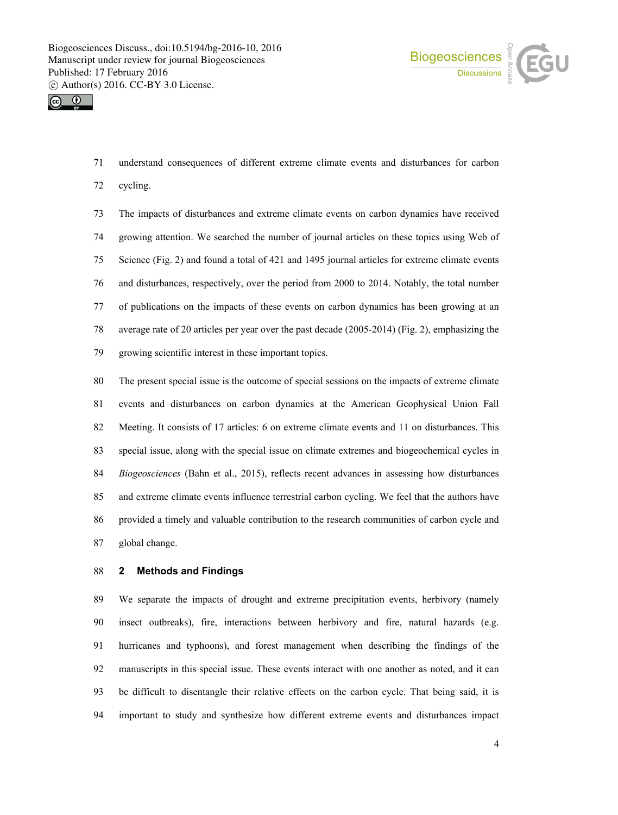



understand consequences of different extreme climate events and disturbances for carbon

cycling.

 The impacts of disturbances and extreme climate events on carbon dynamics have received growing attention. We searched the number of journal articles on these topics using Web of Science (Fig. 2) and found a total of 421 and 1495 journal articles for extreme climate events and disturbances, respectively, over the period from 2000 to 2014. Notably, the total number of publications on the impacts of these events on carbon dynamics has been growing at an average rate of 20 articles per year over the past decade (2005-2014) (Fig. 2), emphasizing the growing scientific interest in these important topics.

 The present special issue is the outcome of special sessions on the impacts of extreme climate events and disturbances on carbon dynamics at the American Geophysical Union Fall Meeting. It consists of 17 articles: 6 on extreme climate events and 11 on disturbances. This special issue, along with the special issue on climate extremes and biogeochemical cycles in *Biogeosciences* (Bahn et al., 2015), reflects recent advances in assessing how disturbances and extreme climate events influence terrestrial carbon cycling. We feel that the authors have provided a timely and valuable contribution to the research communities of carbon cycle and global change.

### **2 Methods and Findings**

 We separate the impacts of drought and extreme precipitation events, herbivory (namely insect outbreaks), fire, interactions between herbivory and fire, natural hazards (e.g. hurricanes and typhoons), and forest management when describing the findings of the manuscripts in this special issue. These events interact with one another as noted, and it can be difficult to disentangle their relative effects on the carbon cycle. That being said, it is important to study and synthesize how different extreme events and disturbances impact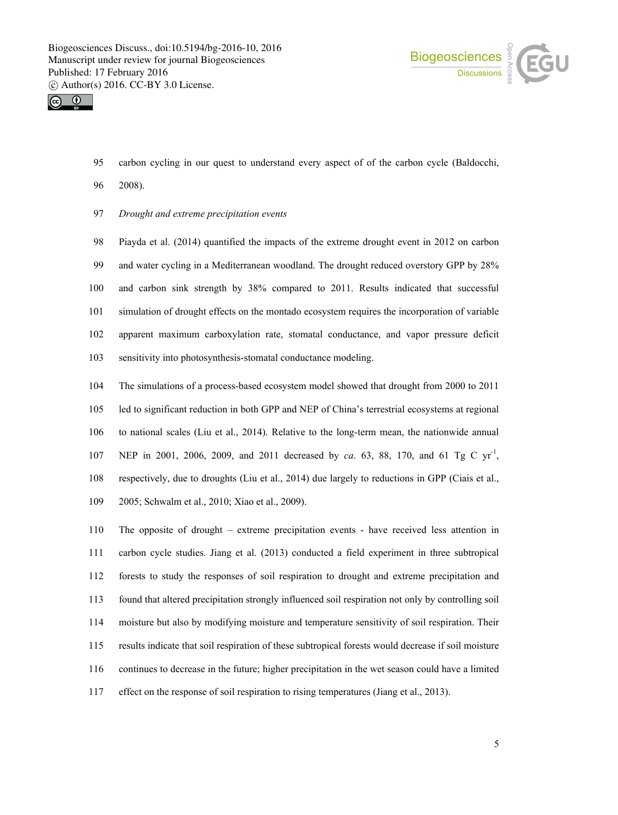



- carbon cycling in our quest to understand every aspect of of the carbon cycle (Baldocchi,
- 2008).
- *Drought and extreme precipitation events*

 Piayda et al. (2014) quantified the impacts of the extreme drought event in 2012 on carbon and water cycling in a Mediterranean woodland. The drought reduced overstory GPP by 28% and carbon sink strength by 38% compared to 2011. Results indicated that successful simulation of drought effects on the montado ecosystem requires the incorporation of variable apparent maximum carboxylation rate, stomatal conductance, and vapor pressure deficit sensitivity into photosynthesis-stomatal conductance modeling.

 The simulations of a process-based ecosystem model showed that drought from 2000 to 2011 led to significant reduction in both GPP and NEP of China's terrestrial ecosystems at regional to national scales (Liu et al., 2014). Relative to the long-term mean, the nationwide annual 107 NEP in 2001, 2006, 2009, and 2011 decreased by *ca*. 63, 88, 170, and 61 Tg C yr<sup>-1</sup>, respectively, due to droughts (Liu et al., 2014) due largely to reductions in GPP (Ciais et al., 2005; Schwalm et al., 2010; Xiao et al., 2009).

 The opposite of drought – extreme precipitation events - have received less attention in carbon cycle studies. Jiang et al. (2013) conducted a field experiment in three subtropical forests to study the responses of soil respiration to drought and extreme precipitation and found that altered precipitation strongly influenced soil respiration not only by controlling soil moisture but also by modifying moisture and temperature sensitivity of soil respiration. Their results indicate that soil respiration of these subtropical forests would decrease if soil moisture continues to decrease in the future; higher precipitation in the wet season could have a limited effect on the response of soil respiration to rising temperatures (Jiang et al., 2013).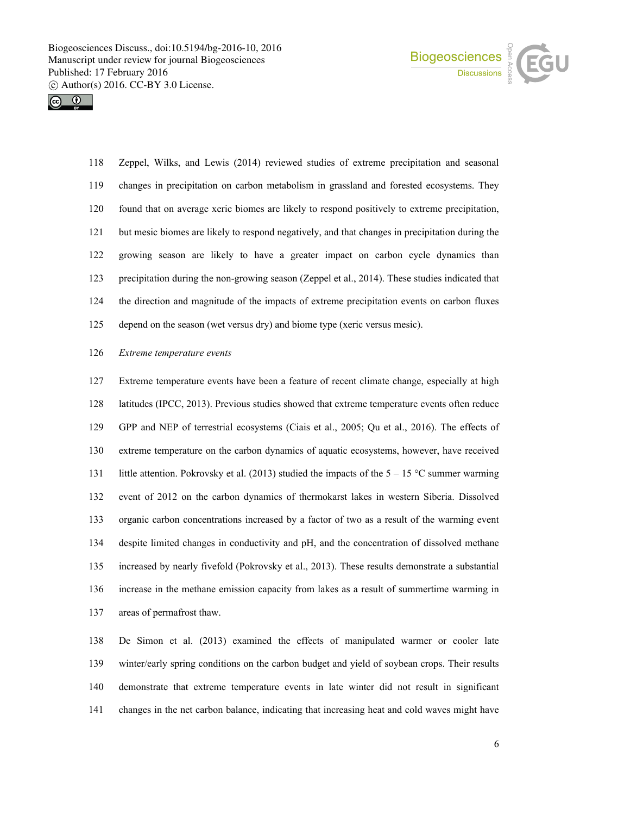



 Zeppel, Wilks, and Lewis (2014) reviewed studies of extreme precipitation and seasonal changes in precipitation on carbon metabolism in grassland and forested ecosystems. They found that on average xeric biomes are likely to respond positively to extreme precipitation, but mesic biomes are likely to respond negatively, and that changes in precipitation during the growing season are likely to have a greater impact on carbon cycle dynamics than precipitation during the non-growing season (Zeppel et al., 2014). These studies indicated that the direction and magnitude of the impacts of extreme precipitation events on carbon fluxes depend on the season (wet versus dry) and biome type (xeric versus mesic).

#### *Extreme temperature events*

 Extreme temperature events have been a feature of recent climate change, especially at high latitudes (IPCC, 2013). Previous studies showed that extreme temperature events often reduce GPP and NEP of terrestrial ecosystems (Ciais et al., 2005; Qu et al., 2016). The effects of extreme temperature on the carbon dynamics of aquatic ecosystems, however, have received 131 little attention. Pokrovsky et al. (2013) studied the impacts of the  $5 - 15$  °C summer warming event of 2012 on the carbon dynamics of thermokarst lakes in western Siberia. Dissolved organic carbon concentrations increased by a factor of two as a result of the warming event despite limited changes in conductivity and pH, and the concentration of dissolved methane increased by nearly fivefold (Pokrovsky et al., 2013). These results demonstrate a substantial increase in the methane emission capacity from lakes as a result of summertime warming in areas of permafrost thaw.

 De Simon et al. (2013) examined the effects of manipulated warmer or cooler late winter/early spring conditions on the carbon budget and yield of soybean crops. Their results demonstrate that extreme temperature events in late winter did not result in significant changes in the net carbon balance, indicating that increasing heat and cold waves might have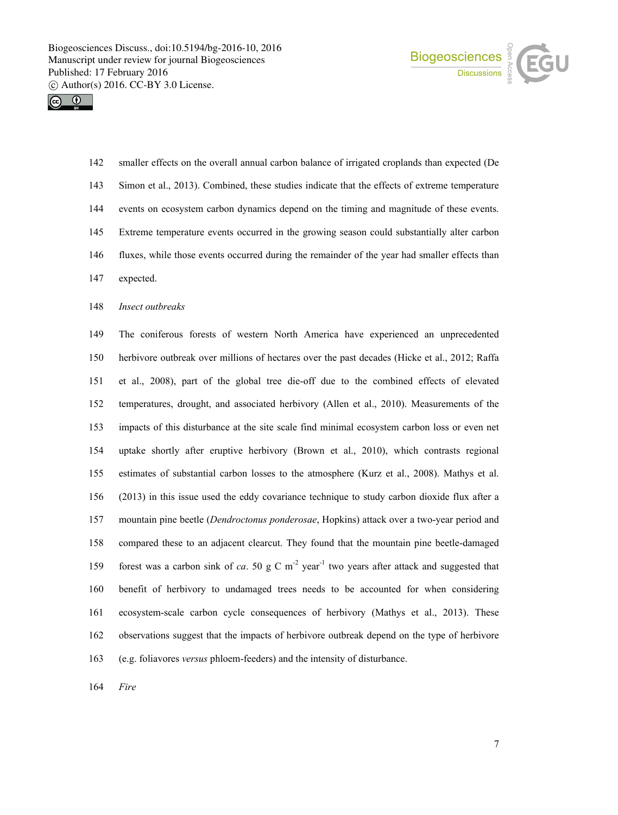



 smaller effects on the overall annual carbon balance of irrigated croplands than expected (De Simon et al., 2013). Combined, these studies indicate that the effects of extreme temperature events on ecosystem carbon dynamics depend on the timing and magnitude of these events. Extreme temperature events occurred in the growing season could substantially alter carbon fluxes, while those events occurred during the remainder of the year had smaller effects than expected.

*Insect outbreaks*

 The coniferous forests of western North America have experienced an unprecedented herbivore outbreak over millions of hectares over the past decades (Hicke et al., 2012; Raffa et al., 2008), part of the global tree die-off due to the combined effects of elevated temperatures, drought, and associated herbivory (Allen et al., 2010). Measurements of the impacts of this disturbance at the site scale find minimal ecosystem carbon loss or even net uptake shortly after eruptive herbivory (Brown et al., 2010), which contrasts regional estimates of substantial carbon losses to the atmosphere (Kurz et al., 2008). Mathys et al. (2013) in this issue used the eddy covariance technique to study carbon dioxide flux after a mountain pine beetle (*Dendroctonus ponderosae*, Hopkins) attack over a two-year period and compared these to an adjacent clearcut. They found that the mountain pine beetle-damaged 159 forest was a carbon sink of *ca*. 50 g C  $m<sup>2</sup>$  year<sup>-1</sup> two years after attack and suggested that benefit of herbivory to undamaged trees needs to be accounted for when considering ecosystem-scale carbon cycle consequences of herbivory (Mathys et al., 2013). These observations suggest that the impacts of herbivore outbreak depend on the type of herbivore (e.g. foliavores *versus* phloem-feeders) and the intensity of disturbance.

*Fire*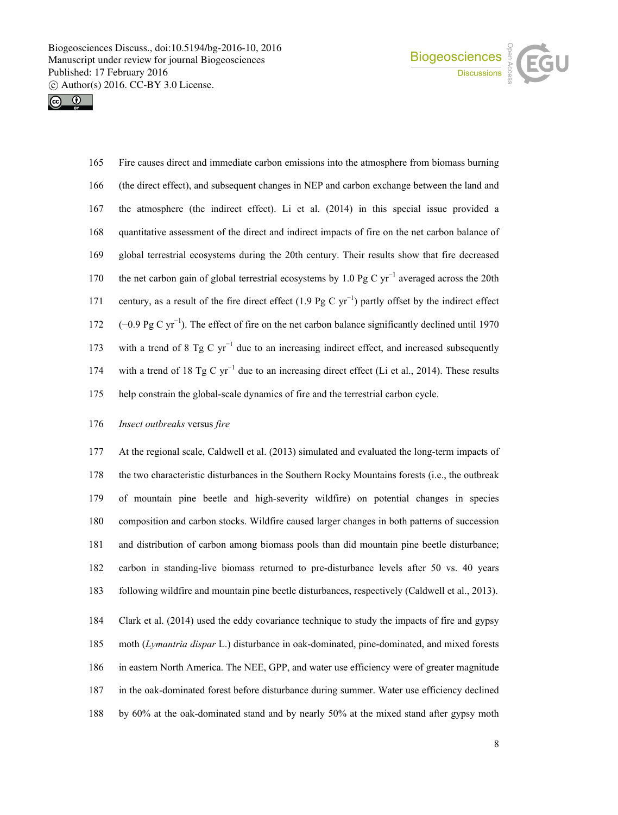



 Fire causes direct and immediate carbon emissions into the atmosphere from biomass burning (the direct effect), and subsequent changes in NEP and carbon exchange between the land and the atmosphere (the indirect effect). Li et al. (2014) in this special issue provided a quantitative assessment of the direct and indirect impacts of fire on the net carbon balance of global terrestrial ecosystems during the 20th century. Their results show that fire decreased 170 the net carbon gain of global terrestrial ecosystems by 1.0 Pg C yr<sup>−1</sup> averaged across the 20th 171 century, as a result of the fire direct effect (1.9 Pg C yr<sup>−1</sup>) partly offset by the indirect effect 172 (−0.9 Pg C yr<sup>−1</sup>). The effect of fire on the net carbon balance significantly declined until 1970 173 with a trend of 8 Tg C  $yr^{-1}$  due to an increasing indirect effect, and increased subsequently 174 with a trend of 18 Tg C yr<sup>−1</sup> due to an increasing direct effect (Li et al., 2014). These results help constrain the global-scale dynamics of fire and the terrestrial carbon cycle.

### *Insect outbreaks* versus *fire*

 At the regional scale, Caldwell et al. (2013) simulated and evaluated the long-term impacts of the two characteristic disturbances in the Southern Rocky Mountains forests (i.e., the outbreak of mountain pine beetle and high-severity wildfire) on potential changes in species composition and carbon stocks. Wildfire caused larger changes in both patterns of succession and distribution of carbon among biomass pools than did mountain pine beetle disturbance; carbon in standing-live biomass returned to pre-disturbance levels after 50 vs. 40 years following wildfire and mountain pine beetle disturbances, respectively (Caldwell et al., 2013).

 Clark et al. (2014) used the eddy covariance technique to study the impacts of fire and gypsy moth (*Lymantria dispar* L.) disturbance in oak-dominated, pine-dominated, and mixed forests in eastern North America. The NEE, GPP, and water use efficiency were of greater magnitude in the oak-dominated forest before disturbance during summer. Water use efficiency declined by 60% at the oak-dominated stand and by nearly 50% at the mixed stand after gypsy moth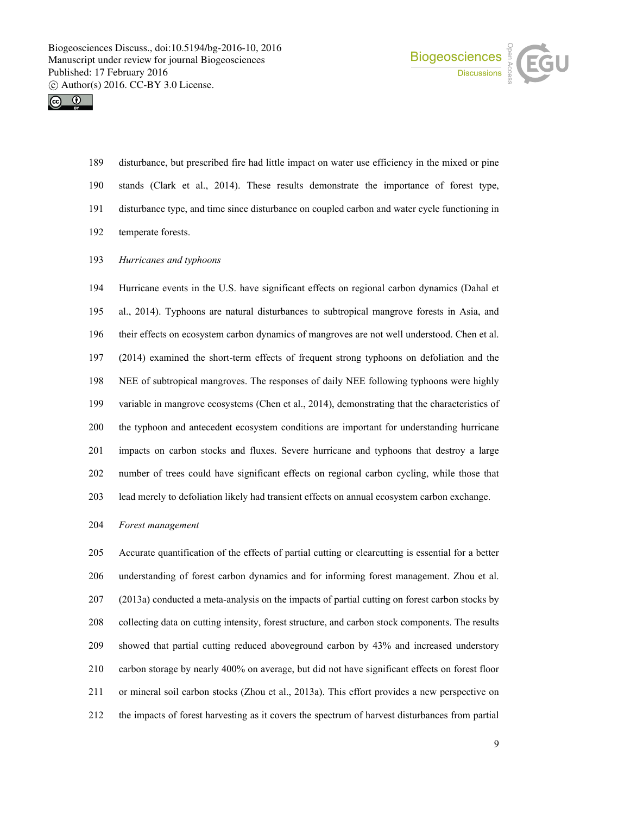



 disturbance, but prescribed fire had little impact on water use efficiency in the mixed or pine stands (Clark et al., 2014). These results demonstrate the importance of forest type, disturbance type, and time since disturbance on coupled carbon and water cycle functioning in temperate forests.

*Hurricanes and typhoons*

 Hurricane events in the U.S. have significant effects on regional carbon dynamics (Dahal et al., 2014). Typhoons are natural disturbances to subtropical mangrove forests in Asia, and their effects on ecosystem carbon dynamics of mangroves are not well understood. Chen et al. (2014) examined the short-term effects of frequent strong typhoons on defoliation and the NEE of subtropical mangroves. The responses of daily NEE following typhoons were highly variable in mangrove ecosystems (Chen et al., 2014), demonstrating that the characteristics of the typhoon and antecedent ecosystem conditions are important for understanding hurricane impacts on carbon stocks and fluxes. Severe hurricane and typhoons that destroy a large number of trees could have significant effects on regional carbon cycling, while those that lead merely to defoliation likely had transient effects on annual ecosystem carbon exchange.

*Forest management*

 Accurate quantification of the effects of partial cutting or clearcutting is essential for a better understanding of forest carbon dynamics and for informing forest management. Zhou et al. (2013a) conducted a meta-analysis on the impacts of partial cutting on forest carbon stocks by collecting data on cutting intensity, forest structure, and carbon stock components. The results showed that partial cutting reduced aboveground carbon by 43% and increased understory carbon storage by nearly 400% on average, but did not have significant effects on forest floor or mineral soil carbon stocks (Zhou et al., 2013a). This effort provides a new perspective on the impacts of forest harvesting as it covers the spectrum of harvest disturbances from partial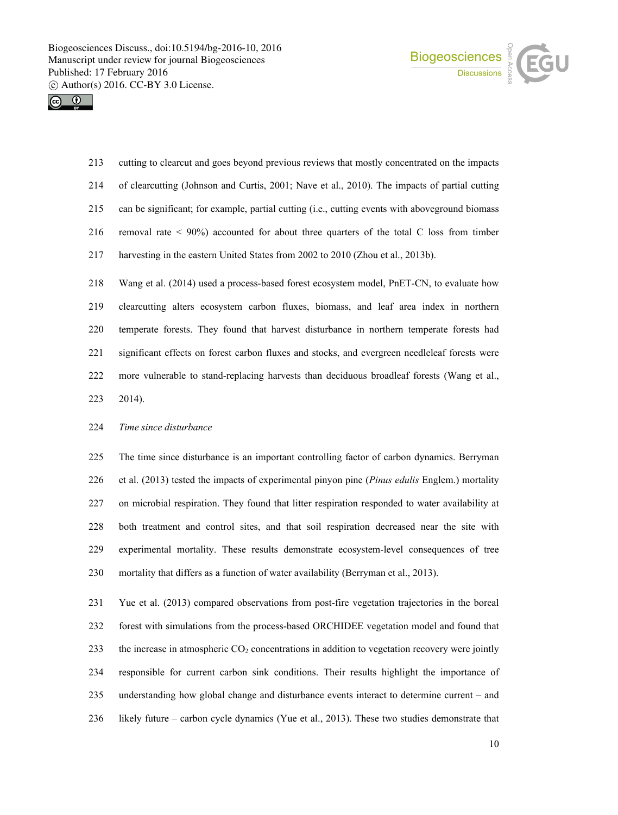



 cutting to clearcut and goes beyond previous reviews that mostly concentrated on the impacts of clearcutting (Johnson and Curtis, 2001; Nave et al., 2010). The impacts of partial cutting can be significant; for example, partial cutting (i.e., cutting events with aboveground biomass removal rate < 90%) accounted for about three quarters of the total C loss from timber harvesting in the eastern United States from 2002 to 2010 (Zhou et al., 2013b).

 Wang et al. (2014) used a process-based forest ecosystem model, PnET-CN, to evaluate how clearcutting alters ecosystem carbon fluxes, biomass, and leaf area index in northern temperate forests. They found that harvest disturbance in northern temperate forests had significant effects on forest carbon fluxes and stocks, and evergreen needleleaf forests were more vulnerable to stand-replacing harvests than deciduous broadleaf forests (Wang et al., 2014).

### *Time since disturbance*

 The time since disturbance is an important controlling factor of carbon dynamics. Berryman et al. (2013) tested the impacts of experimental pinyon pine (*Pinus edulis* Englem.) mortality on microbial respiration. They found that litter respiration responded to water availability at both treatment and control sites, and that soil respiration decreased near the site with experimental mortality. These results demonstrate ecosystem-level consequences of tree mortality that differs as a function of water availability (Berryman et al., 2013).

 Yue et al. (2013) compared observations from post-fire vegetation trajectories in the boreal forest with simulations from the process-based ORCHIDEE vegetation model and found that 233 the increase in atmospheric CO<sub>2</sub> concentrations in addition to vegetation recovery were jointly responsible for current carbon sink conditions. Their results highlight the importance of understanding how global change and disturbance events interact to determine current – and likely future – carbon cycle dynamics (Yue et al., 2013). These two studies demonstrate that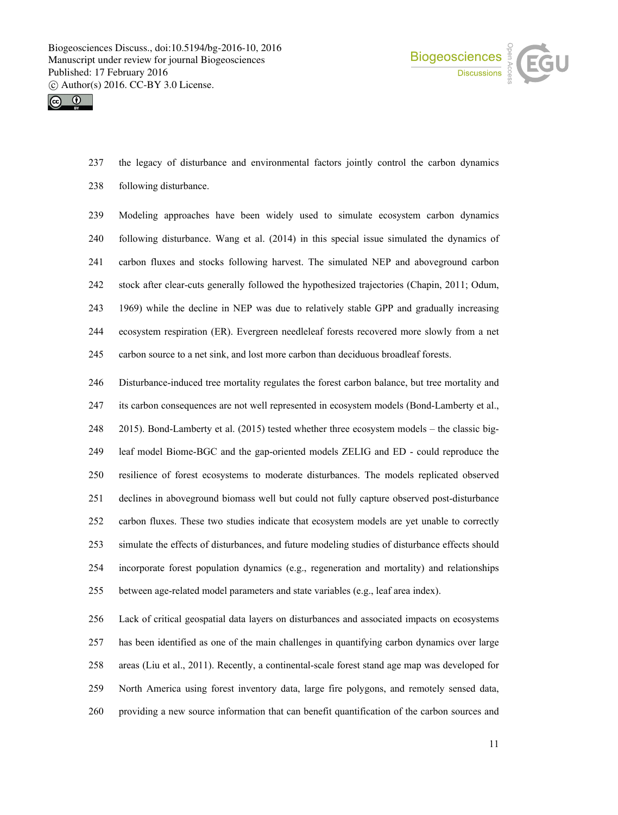



 the legacy of disturbance and environmental factors jointly control the carbon dynamics following disturbance.

 Modeling approaches have been widely used to simulate ecosystem carbon dynamics following disturbance. Wang et al. (2014) in this special issue simulated the dynamics of carbon fluxes and stocks following harvest. The simulated NEP and aboveground carbon stock after clear-cuts generally followed the hypothesized trajectories (Chapin, 2011; Odum, 1969) while the decline in NEP was due to relatively stable GPP and gradually increasing ecosystem respiration (ER). Evergreen needleleaf forests recovered more slowly from a net carbon source to a net sink, and lost more carbon than deciduous broadleaf forests.

 Disturbance-induced tree mortality regulates the forest carbon balance, but tree mortality and its carbon consequences are not well represented in ecosystem models (Bond-Lamberty et al., 2015). Bond-Lamberty et al. (2015) tested whether three ecosystem models – the classic big- leaf model Biome-BGC and the gap-oriented models ZELIG and ED - could reproduce the resilience of forest ecosystems to moderate disturbances. The models replicated observed declines in aboveground biomass well but could not fully capture observed post-disturbance carbon fluxes. These two studies indicate that ecosystem models are yet unable to correctly simulate the effects of disturbances, and future modeling studies of disturbance effects should incorporate forest population dynamics (e.g., regeneration and mortality) and relationships between age-related model parameters and state variables (e.g., leaf area index).

 Lack of critical geospatial data layers on disturbances and associated impacts on ecosystems has been identified as one of the main challenges in quantifying carbon dynamics over large areas (Liu et al., 2011). Recently, a continental-scale forest stand age map was developed for North America using forest inventory data, large fire polygons, and remotely sensed data, providing a new source information that can benefit quantification of the carbon sources and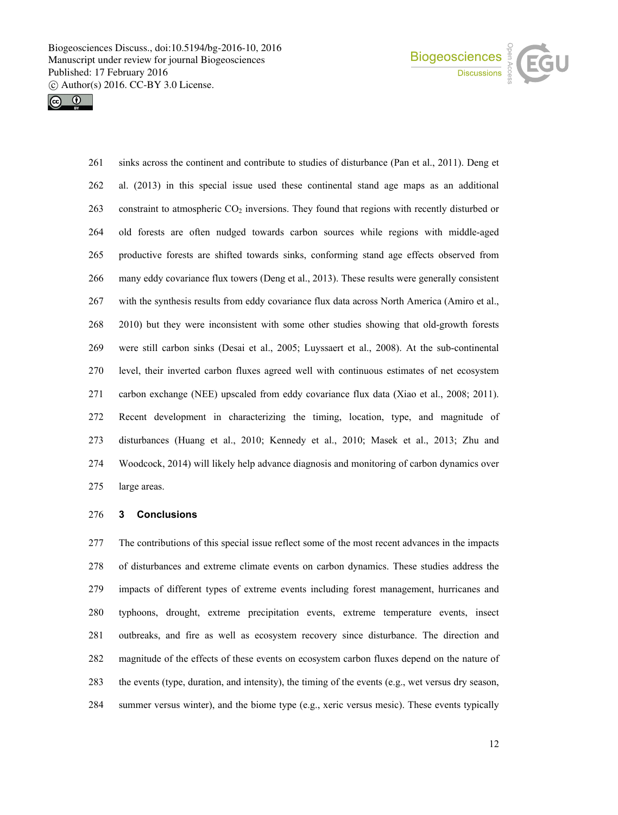



 sinks across the continent and contribute to studies of disturbance (Pan et al., 2011). Deng et al. (2013) in this special issue used these continental stand age maps as an additional 263 constraint to atmospheric  $CO<sub>2</sub>$  inversions. They found that regions with recently disturbed or old forests are often nudged towards carbon sources while regions with middle-aged productive forests are shifted towards sinks, conforming stand age effects observed from many eddy covariance flux towers (Deng et al., 2013). These results were generally consistent with the synthesis results from eddy covariance flux data across North America (Amiro et al., 2010) but they were inconsistent with some other studies showing that old-growth forests were still carbon sinks (Desai et al., 2005; Luyssaert et al., 2008). At the sub-continental level, their inverted carbon fluxes agreed well with continuous estimates of net ecosystem carbon exchange (NEE) upscaled from eddy covariance flux data (Xiao et al., 2008; 2011). Recent development in characterizing the timing, location, type, and magnitude of disturbances (Huang et al., 2010; Kennedy et al., 2010; Masek et al., 2013; Zhu and Woodcock, 2014) will likely help advance diagnosis and monitoring of carbon dynamics over large areas.

### **3 Conclusions**

 The contributions of this special issue reflect some of the most recent advances in the impacts of disturbances and extreme climate events on carbon dynamics. These studies address the impacts of different types of extreme events including forest management, hurricanes and typhoons, drought, extreme precipitation events, extreme temperature events, insect outbreaks, and fire as well as ecosystem recovery since disturbance. The direction and magnitude of the effects of these events on ecosystem carbon fluxes depend on the nature of the events (type, duration, and intensity), the timing of the events (e.g., wet versus dry season, summer versus winter), and the biome type (e.g., xeric versus mesic). These events typically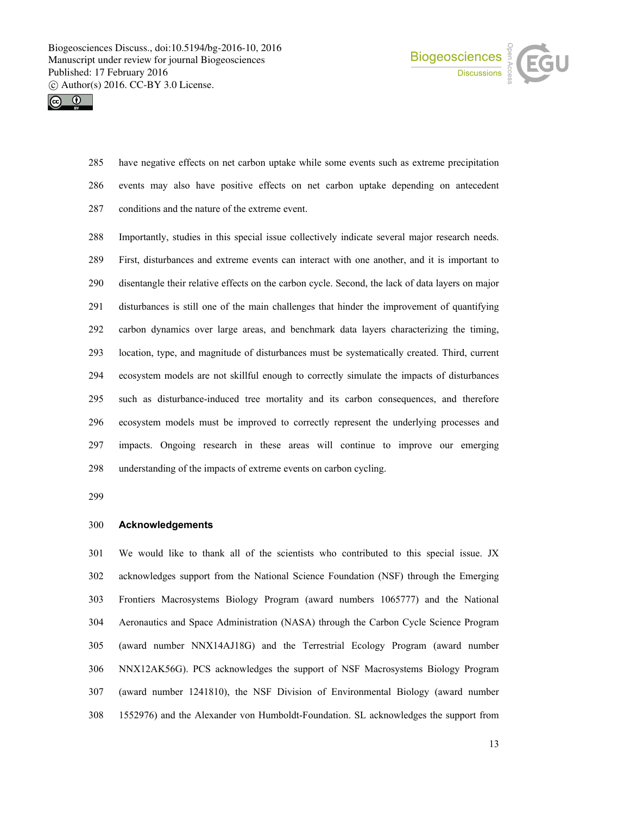



 have negative effects on net carbon uptake while some events such as extreme precipitation events may also have positive effects on net carbon uptake depending on antecedent conditions and the nature of the extreme event.

 Importantly, studies in this special issue collectively indicate several major research needs. First, disturbances and extreme events can interact with one another, and it is important to disentangle their relative effects on the carbon cycle. Second, the lack of data layers on major disturbances is still one of the main challenges that hinder the improvement of quantifying carbon dynamics over large areas, and benchmark data layers characterizing the timing, location, type, and magnitude of disturbances must be systematically created. Third, current ecosystem models are not skillful enough to correctly simulate the impacts of disturbances such as disturbance-induced tree mortality and its carbon consequences, and therefore ecosystem models must be improved to correctly represent the underlying processes and impacts. Ongoing research in these areas will continue to improve our emerging understanding of the impacts of extreme events on carbon cycling.

## **Acknowledgements**

 We would like to thank all of the scientists who contributed to this special issue. JX acknowledges support from the National Science Foundation (NSF) through the Emerging Frontiers Macrosystems Biology Program (award numbers 1065777) and the National Aeronautics and Space Administration (NASA) through the Carbon Cycle Science Program (award number NNX14AJ18G) and the Terrestrial Ecology Program (award number NNX12AK56G). PCS acknowledges the support of NSF Macrosystems Biology Program (award number 1241810), the NSF Division of Environmental Biology (award number 1552976) and the Alexander von Humboldt-Foundation. SL acknowledges the support from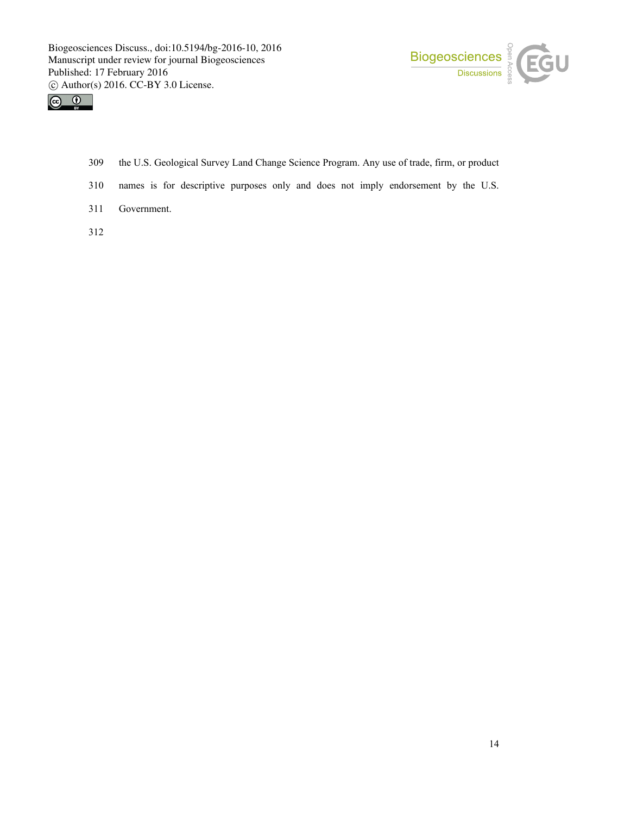



- 309 the U.S. Geological Survey Land Change Science Program. Any use of trade, firm, or product
- 310 names is for descriptive purposes only and does not imply endorsement by the U.S.
- 311 Government.
- 312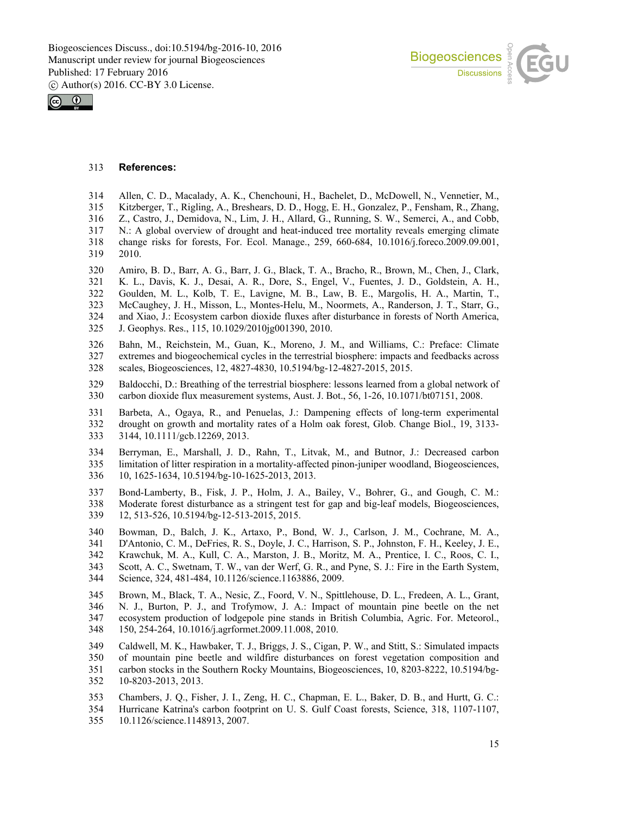



# **References:**

- Allen, C. D., Macalady, A. K., Chenchouni, H., Bachelet, D., McDowell, N., Vennetier, M.,
- Kitzberger, T., Rigling, A., Breshears, D. D., Hogg, E. H., Gonzalez, P., Fensham, R., Zhang,
- Z., Castro, J., Demidova, N., Lim, J. H., Allard, G., Running, S. W., Semerci, A., and Cobb,
- N.: A global overview of drought and heat-induced tree mortality reveals emerging climate change risks for forests, For. Ecol. Manage., 259, 660-684, 10.1016/j.foreco.2009.09.001, 2010.
- Amiro, B. D., Barr, A. G., Barr, J. G., Black, T. A., Bracho, R., Brown, M., Chen, J., Clark, K. L., Davis, K. J., Desai, A. R., Dore, S., Engel, V., Fuentes, J. D., Goldstein, A. H., Goulden, M. L., Kolb, T. E., Lavigne, M. B., Law, B. E., Margolis, H. A., Martin, T., McCaughey, J. H., Misson, L., Montes-Helu, M., Noormets, A., Randerson, J. T., Starr, G., and Xiao, J.: Ecosystem carbon dioxide fluxes after disturbance in forests of North America, J. Geophys. Res., 115, 10.1029/2010jg001390, 2010.
- Bahn, M., Reichstein, M., Guan, K., Moreno, J. M., and Williams, C.: Preface: Climate 327 extremes and biogeochemical cycles in the terrestrial biosphere: impacts and feedbacks across scales, Biogeosciences, 12, 4827-4830, 10.5194/bg-12-4827-2015, 2015. scales, Biogeosciences, 12, 4827-4830, 10.5194/bg-12-4827-2015, 2015.
- Baldocchi, D.: Breathing of the terrestrial biosphere: lessons learned from a global network of carbon dioxide flux measurement systems, Aust. J. Bot., 56, 1-26, 10.1071/bt07151, 2008.
- Barbeta, A., Ogaya, R., and Penuelas, J.: Dampening effects of long-term experimental drought on growth and mortality rates of a Holm oak forest, Glob. Change Biol., 19, 3133- 3144, 10.1111/gcb.12269, 2013.
- Berryman, E., Marshall, J. D., Rahn, T., Litvak, M., and Butnor, J.: Decreased carbon limitation of litter respiration in a mortality-affected pinon-juniper woodland, Biogeosciences, 10, 1625-1634, 10.5194/bg-10-1625-2013, 2013.
- Bond-Lamberty, B., Fisk, J. P., Holm, J. A., Bailey, V., Bohrer, G., and Gough, C. M.: Moderate forest disturbance as a stringent test for gap and big-leaf models, Biogeosciences, 12, 513-526, 10.5194/bg-12-513-2015, 2015.
- Bowman, D., Balch, J. K., Artaxo, P., Bond, W. J., Carlson, J. M., Cochrane, M. A., D'Antonio, C. M., DeFries, R. S., Doyle, J. C., Harrison, S. P., Johnston, F. H., Keeley, J. E., Krawchuk, M. A., Kull, C. A., Marston, J. B., Moritz, M. A., Prentice, I. C., Roos, C. I., Scott, A. C., Swetnam, T. W., van der Werf, G. R., and Pyne, S. J.: Fire in the Earth System, Science, 324, 481-484, 10.1126/science.1163886, 2009.
- Brown, M., Black, T. A., Nesic, Z., Foord, V. N., Spittlehouse, D. L., Fredeen, A. L., Grant, N. J., Burton, P. J., and Trofymow, J. A.: Impact of mountain pine beetle on the net ecosystem production of lodgepole pine stands in British Columbia, Agric. For. Meteorol., 150, 254-264, 10.1016/j.agrformet.2009.11.008, 2010.
- Caldwell, M. K., Hawbaker, T. J., Briggs, J. S., Cigan, P. W., and Stitt, S.: Simulated impacts of mountain pine beetle and wildfire disturbances on forest vegetation composition and carbon stocks in the Southern Rocky Mountains, Biogeosciences, 10, 8203-8222, 10.5194/bg-10-8203-2013, 2013.
- Chambers, J. Q., Fisher, J. I., Zeng, H. C., Chapman, E. L., Baker, D. B., and Hurtt, G. C.:
- Hurricane Katrina's carbon footprint on U. S. Gulf Coast forests, Science, 318, 1107-1107, 10.1126/science.1148913, 2007.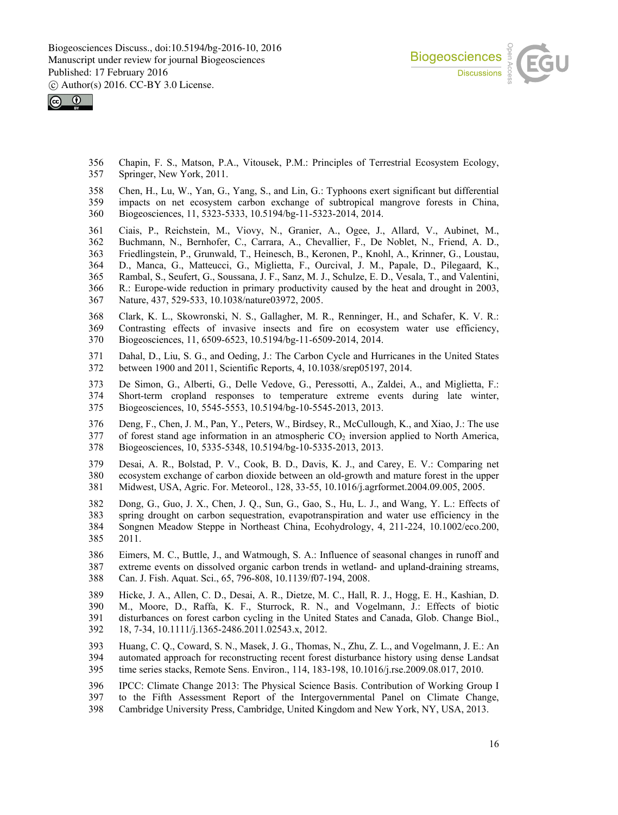



 Chapin, F. S., Matson, P.A., Vitousek, P.M.: Principles of Terrestrial Ecosystem Ecology, Springer, New York, 2011.

- Chen, H., Lu, W., Yan, G., Yang, S., and Lin, G.: Typhoons exert significant but differential impacts on net ecosystem carbon exchange of subtropical mangrove forests in China, Biogeosciences, 11, 5323-5333, 10.5194/bg-11-5323-2014, 2014.
- Ciais, P., Reichstein, M., Viovy, N., Granier, A., Ogee, J., Allard, V., Aubinet, M., Buchmann, N., Bernhofer, C., Carrara, A., Chevallier, F., De Noblet, N., Friend, A. D., Friedlingstein, P., Grunwald, T., Heinesch, B., Keronen, P., Knohl, A., Krinner, G., Loustau, D., Manca, G., Matteucci, G., Miglietta, F., Ourcival, J. M., Papale, D., Pilegaard, K., Rambal, S., Seufert, G., Soussana, J. F., Sanz, M. J., Schulze, E. D., Vesala, T., and Valentini, R.: Europe-wide reduction in primary productivity caused by the heat and drought in 2003, Nature, 437, 529-533, 10.1038/nature03972, 2005.
- Clark, K. L., Skowronski, N. S., Gallagher, M. R., Renninger, H., and Schafer, K. V. R.: Contrasting effects of invasive insects and fire on ecosystem water use efficiency, Biogeosciences, 11, 6509-6523, 10.5194/bg-11-6509-2014, 2014.
- 371 Dahal, D., Liu, S. G., and Oeding, J.: The Carbon Cycle and Hurricanes in the United States<br>372 between 1900 and 2011, Scientific Reports, 4, 10.1038/srep05197, 2014. between 1900 and 2011, Scientific Reports, 4, 10.1038/srep05197, 2014.
- De Simon, G., Alberti, G., Delle Vedove, G., Peressotti, A., Zaldei, A., and Miglietta, F.: Short-term cropland responses to temperature extreme events during late winter, Biogeosciences, 10, 5545-5553, 10.5194/bg-10-5545-2013, 2013.
- Deng, F., Chen, J. M., Pan, Y., Peters, W., Birdsey, R., McCullough, K., and Xiao, J.: The use of forest stand age information in an atmospheric  $CO<sub>2</sub>$  inversion applied to North America, Biogeosciences, 10, 5335-5348, 10.5194/bg-10-5335-2013, 2013.
- Desai, A. R., Bolstad, P. V., Cook, B. D., Davis, K. J., and Carey, E. V.: Comparing net ecosystem exchange of carbon dioxide between an old-growth and mature forest in the upper Midwest, USA, Agric. For. Meteorol., 128, 33-55, 10.1016/j.agrformet.2004.09.005, 2005.
- Dong, G., Guo, J. X., Chen, J. Q., Sun, G., Gao, S., Hu, L. J., and Wang, Y. L.: Effects of spring drought on carbon sequestration, evapotranspiration and water use efficiency in the Songnen Meadow Steppe in Northeast China, Ecohydrology, 4, 211-224, 10.1002/eco.200, 2011.
- Eimers, M. C., Buttle, J., and Watmough, S. A.: Influence of seasonal changes in runoff and extreme events on dissolved organic carbon trends in wetland- and upland-draining streams, Can. J. Fish. Aquat. Sci., 65, 796-808, 10.1139/f07-194, 2008.
- Hicke, J. A., Allen, C. D., Desai, A. R., Dietze, M. C., Hall, R. J., Hogg, E. H., Kashian, D. M., Moore, D., Raffa, K. F., Sturrock, R. N., and Vogelmann, J.: Effects of biotic disturbances on forest carbon cycling in the United States and Canada, Glob. Change Biol., 18, 7-34, 10.1111/j.1365-2486.2011.02543.x, 2012.
- Huang, C. Q., Coward, S. N., Masek, J. G., Thomas, N., Zhu, Z. L., and Vogelmann, J. E.: An automated approach for reconstructing recent forest disturbance history using dense Landsat time series stacks, Remote Sens. Environ., 114, 183-198, 10.1016/j.rse.2009.08.017, 2010.
- IPCC: Climate Change 2013: The Physical Science Basis. Contribution of Working Group I
- to the Fifth Assessment Report of the Intergovernmental Panel on Climate Change,
- Cambridge University Press, Cambridge, United Kingdom and New York, NY, USA, 2013.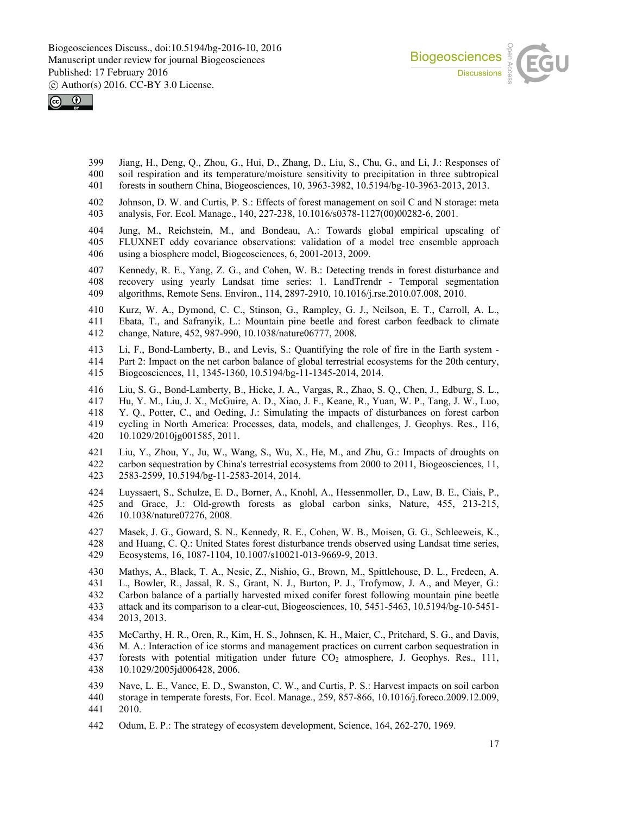



- Jiang, H., Deng, Q., Zhou, G., Hui, D., Zhang, D., Liu, S., Chu, G., and Li, J.: Responses of soil respiration and its temperature/moisture sensitivity to precipitation in three subtropical forests in southern China, Biogeosciences, 10, 3963-3982, 10.5194/bg-10-3963-2013, 2013.
- Johnson, D. W. and Curtis, P. S.: Effects of forest management on soil C and N storage: meta analysis, For. Ecol. Manage., 140, 227-238, 10.1016/s0378-1127(00)00282-6, 2001.
- Jung, M., Reichstein, M., and Bondeau, A.: Towards global empirical upscaling of FLUXNET eddy covariance observations: validation of a model tree ensemble approach using a biosphere model, Biogeosciences, 6, 2001-2013, 2009.
- 407 Kennedy, R. E., Yang, Z. G., and Cohen, W. B.: Detecting trends in forest disturbance and 408 recovery using yearly Landsat time series: 1. LandTrendr Temporal segmentation recovery using yearly Landsat time series: 1. LandTrendr - Temporal segmentation algorithms, Remote Sens. Environ., 114, 2897-2910, 10.1016/j.rse.2010.07.008, 2010.
- Kurz, W. A., Dymond, C. C., Stinson, G., Rampley, G. J., Neilson, E. T., Carroll, A. L., Ebata, T., and Safranyik, L.: Mountain pine beetle and forest carbon feedback to climate change, Nature, 452, 987-990, 10.1038/nature06777, 2008.
- Li, F., Bond-Lamberty, B., and Levis, S.: Quantifying the role of fire in the Earth system Part 2: Impact on the net carbon balance of global terrestrial ecosystems for the 20th century, Biogeosciences, 11, 1345-1360, 10.5194/bg-11-1345-2014, 2014.
- Liu, S. G., Bond-Lamberty, B., Hicke, J. A., Vargas, R., Zhao, S. Q., Chen, J., Edburg, S. L., Hu, Y. M., Liu, J. X., McGuire, A. D., Xiao, J. F., Keane, R., Yuan, W. P., Tang, J. W., Luo, Y. Q., Potter, C., and Oeding, J.: Simulating the impacts of disturbances on forest carbon cycling in North America: Processes, data, models, and challenges, J. Geophys. Res., 116, 10.1029/2010jg001585, 2011.
- Liu, Y., Zhou, Y., Ju, W., Wang, S., Wu, X., He, M., and Zhu, G.: Impacts of droughts on carbon sequestration by China's terrestrial ecosystems from 2000 to 2011, Biogeosciences, 11, 2583-2599, 10.5194/bg-11-2583-2014, 2014.
- Luyssaert, S., Schulze, E. D., Borner, A., Knohl, A., Hessenmoller, D., Law, B. E., Ciais, P., and Grace, J.: Old-growth forests as global carbon sinks, Nature, 455, 213-215, 10.1038/nature07276, 2008.
- Masek, J. G., Goward, S. N., Kennedy, R. E., Cohen, W. B., Moisen, G. G., Schleeweis, K., and Huang, C. Q.: United States forest disturbance trends observed using Landsat time series, Ecosystems, 16, 1087-1104, 10.1007/s10021-013-9669-9, 2013.
- Mathys, A., Black, T. A., Nesic, Z., Nishio, G., Brown, M., Spittlehouse, D. L., Fredeen, A. L., Bowler, R., Jassal, R. S., Grant, N. J., Burton, P. J., Trofymow, J. A., and Meyer, G.: Carbon balance of a partially harvested mixed conifer forest following mountain pine beetle attack and its comparison to a clear-cut, Biogeosciences, 10, 5451-5463, 10.5194/bg-10-5451- 2013, 2013.
- McCarthy, H. R., Oren, R., Kim, H. S., Johnsen, K. H., Maier, C., Pritchard, S. G., and Davis, M. A.: Interaction of ice storms and management practices on current carbon sequestration in 437 forests with potential mitigation under future  $CO<sub>2</sub>$  atmosphere, J. Geophys. Res., 111, 10.1029/2005jd006428, 2006.
- Nave, L. E., Vance, E. D., Swanston, C. W., and Curtis, P. S.: Harvest impacts on soil carbon storage in temperate forests, For. Ecol. Manage., 259, 857-866, 10.1016/j.foreco.2009.12.009, 2010.
- Odum, E. P.: The strategy of ecosystem development, Science, 164, 262-270, 1969.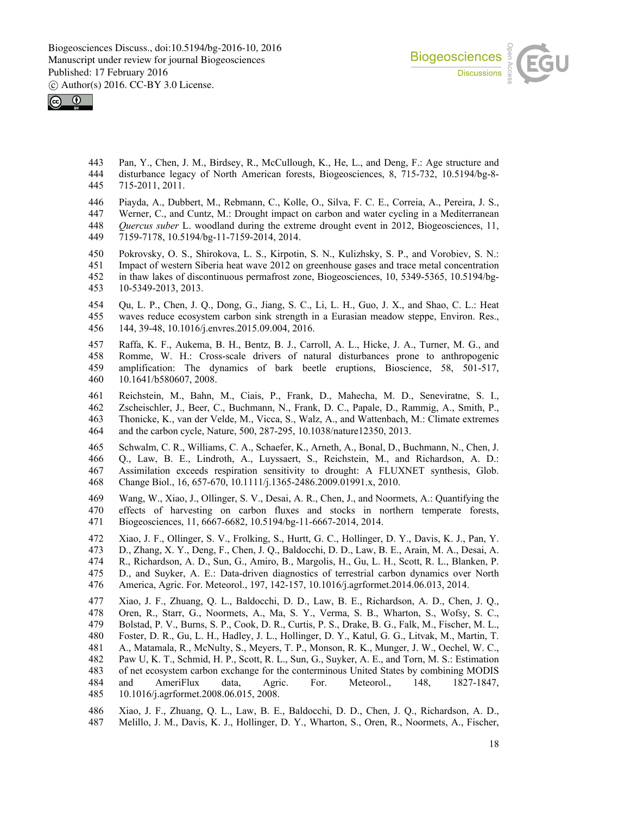



 Pan, Y., Chen, J. M., Birdsey, R., McCullough, K., He, L., and Deng, F.: Age structure and disturbance legacy of North American forests, Biogeosciences, 8, 715-732, 10.5194/bg-8- 715-2011, 2011.

Piayda, A., Dubbert, M., Rebmann, C., Kolle, O., Silva, F. C. E., Correia, A., Pereira, J. S.,

- Werner, C., and Cuntz, M.: Drought impact on carbon and water cycling in a Mediterranean
- *Quercus suber* L. woodland during the extreme drought event in 2012, Biogeosciences, 11, 7159-7178, 10.5194/bg-11-7159-2014, 2014.

 Pokrovsky, O. S., Shirokova, L. S., Kirpotin, S. N., Kulizhsky, S. P., and Vorobiev, S. N.: Impact of western Siberia heat wave 2012 on greenhouse gases and trace metal concentration in thaw lakes of discontinuous permafrost zone, Biogeosciences, 10, 5349-5365, 10.5194/bg-

10-5349-2013, 2013.

 Qu, L. P., Chen, J. Q., Dong, G., Jiang, S. C., Li, L. H., Guo, J. X., and Shao, C. L.: Heat waves reduce ecosystem carbon sink strength in a Eurasian meadow steppe, Environ. Res., 144, 39-48, 10.1016/j.envres.2015.09.004, 2016.

 Raffa, K. F., Aukema, B. H., Bentz, B. J., Carroll, A. L., Hicke, J. A., Turner, M. G., and 458 Romme, W. H.: Cross-scale drivers of natural disturbances prone to anthropogenic 459 amplification: The dynamics of bark beetle eruptions, Bioscience, 58, 501-517, amplification: The dynamics of bark beetle eruptions, Bioscience, 58, 501-517, 10.1641/b580607, 2008.

461 Reichstein, M., Bahn, M., Ciais, P., Frank, D., Mahecha, M. D., Seneviratne, S. I., 462 Zscheischler, J., Beer, C., Buchmann, N., Frank, D. C., Papale, D., Rammig, A., Smith, P., Zscheischler, J., Beer, C., Buchmann, N., Frank, D. C., Papale, D., Rammig, A., Smith, P., Thonicke, K., van der Velde, M., Vicca, S., Walz, A., and Wattenbach, M.: Climate extremes and the carbon cycle, Nature, 500, 287-295, 10.1038/nature12350, 2013.

 Schwalm, C. R., Williams, C. A., Schaefer, K., Arneth, A., Bonal, D., Buchmann, N., Chen, J. Q., Law, B. E., Lindroth, A., Luyssaert, S., Reichstein, M., and Richardson, A. D.: Assimilation exceeds respiration sensitivity to drought: A FLUXNET synthesis, Glob. Change Biol., 16, 657-670, 10.1111/j.1365-2486.2009.01991.x, 2010.

 Wang, W., Xiao, J., Ollinger, S. V., Desai, A. R., Chen, J., and Noormets, A.: Quantifying the effects of harvesting on carbon fluxes and stocks in northern temperate forests, Biogeosciences, 11, 6667-6682, 10.5194/bg-11-6667-2014, 2014.

Xiao, J. F., Ollinger, S. V., Frolking, S., Hurtt, G. C., Hollinger, D. Y., Davis, K. J., Pan, Y.

- D., Zhang, X. Y., Deng, F., Chen, J. Q., Baldocchi, D. D., Law, B. E., Arain, M. A., Desai, A.
- R., Richardson, A. D., Sun, G., Amiro, B., Margolis, H., Gu, L. H., Scott, R. L., Blanken, P. D., and Suyker, A. E.: Data-driven diagnostics of terrestrial carbon dynamics over North
- America, Agric. For. Meteorol., 197, 142-157, 10.1016/j.agrformet.2014.06.013, 2014.

 Xiao, J. F., Zhuang, Q. L., Baldocchi, D. D., Law, B. E., Richardson, A. D., Chen, J. Q., Oren, R., Starr, G., Noormets, A., Ma, S. Y., Verma, S. B., Wharton, S., Wofsy, S. C., Bolstad, P. V., Burns, S. P., Cook, D. R., Curtis, P. S., Drake, B. G., Falk, M., Fischer, M. L., Foster, D. R., Gu, L. H., Hadley, J. L., Hollinger, D. Y., Katul, G. G., Litvak, M., Martin, T. A., Matamala, R., McNulty, S., Meyers, T. P., Monson, R. K., Munger, J. W., Oechel, W. C., Paw U, K. T., Schmid, H. P., Scott, R. L., Sun, G., Suyker, A. E., and Torn, M. S.: Estimation of net ecosystem carbon exchange for the conterminous United States by combining MODIS and AmeriFlux data, Agric. For. Meteorol., 148, 1827-1847, 10.1016/j.agrformet.2008.06.015, 2008.

 Xiao, J. F., Zhuang, Q. L., Law, B. E., Baldocchi, D. D., Chen, J. Q., Richardson, A. D., Melillo, J. M., Davis, K. J., Hollinger, D. Y., Wharton, S., Oren, R., Noormets, A., Fischer,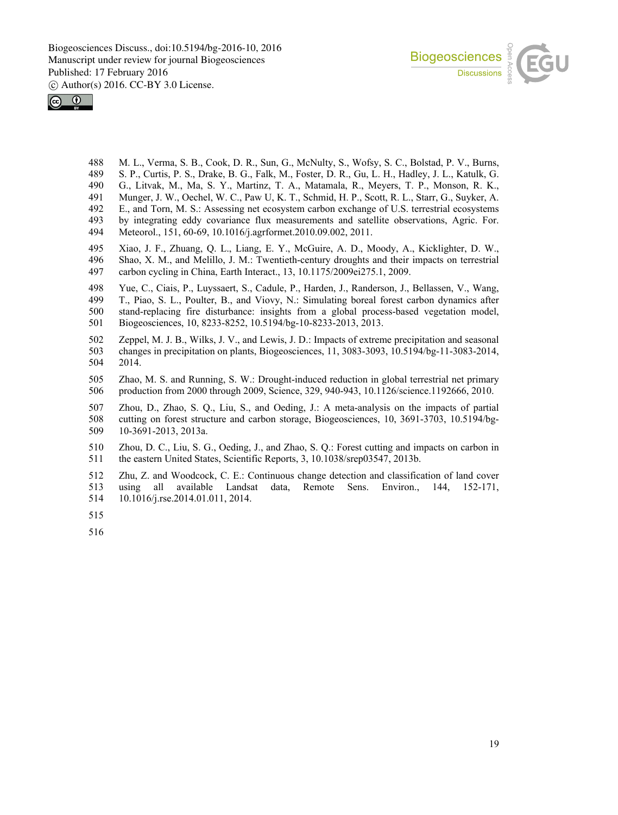



- M. L., Verma, S. B., Cook, D. R., Sun, G., McNulty, S., Wofsy, S. C., Bolstad, P. V., Burns,
- S. P., Curtis, P. S., Drake, B. G., Falk, M., Foster, D. R., Gu, L. H., Hadley, J. L., Katulk, G. G., Litvak, M., Ma, S. Y., Martinz, T. A., Matamala, R., Meyers, T. P., Monson, R. K.,
- Munger, J. W., Oechel, W. C., Paw U, K. T., Schmid, H. P., Scott, R. L., Starr, G., Suyker, A.
- E., and Torn, M. S.: Assessing net ecosystem carbon exchange of U.S. terrestrial ecosystems
- by integrating eddy covariance flux measurements and satellite observations, Agric. For.
- Meteorol., 151, 60-69, 10.1016/j.agrformet.2010.09.002, 2011.
- Xiao, J. F., Zhuang, Q. L., Liang, E. Y., McGuire, A. D., Moody, A., Kicklighter, D. W., Shao, X. M., and Melillo, J. M.: Twentieth-century droughts and their impacts on terrestrial carbon cycling in China, Earth Interact., 13, 10.1175/2009ei275.1, 2009.
- Yue, C., Ciais, P., Luyssaert, S., Cadule, P., Harden, J., Randerson, J., Bellassen, V., Wang, T., Piao, S. L., Poulter, B., and Viovy, N.: Simulating boreal forest carbon dynamics after stand-replacing fire disturbance: insights from a global process-based vegetation model, Biogeosciences, 10, 8233-8252, 10.5194/bg-10-8233-2013, 2013.
- Zeppel, M. J. B., Wilks, J. V., and Lewis, J. D.: Impacts of extreme precipitation and seasonal changes in precipitation on plants, Biogeosciences, 11, 3083-3093, 10.5194/bg-11-3083-2014, 2014.
- Zhao, M. S. and Running, S. W.: Drought-induced reduction in global terrestrial net primary production from 2000 through 2009, Science, 329, 940-943, 10.1126/science.1192666, 2010.
- Zhou, D., Zhao, S. Q., Liu, S., and Oeding, J.: A meta-analysis on the impacts of partial cutting on forest structure and carbon storage, Biogeosciences, 10, 3691-3703, 10.5194/bg-10-3691-2013, 2013a.
- Zhou, D. C., Liu, S. G., Oeding, J., and Zhao, S. Q.: Forest cutting and impacts on carbon in the eastern United States, Scientific Reports, 3, 10.1038/srep03547, 2013b.
- Zhu, Z. and Woodcock, C. E.: Continuous change detection and classification of land cover using all available Landsat data, Remote Sens. Environ., 144, 152-171, 10.1016/j.rse.2014.01.011, 2014.
- 
-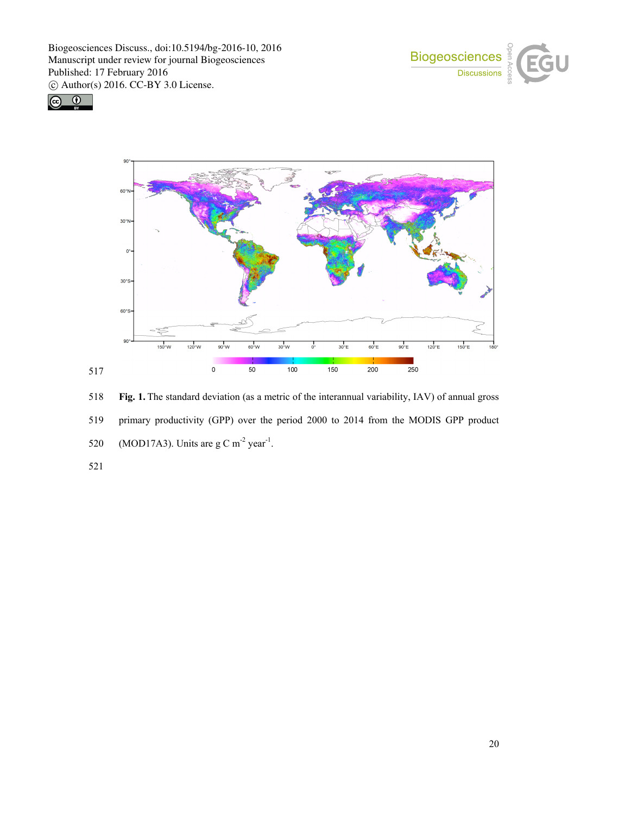





518 **Fig. 1.** The standard deviation (as a metric of the interannual variability, IAV) of annual gross 519 primary productivity (GPP) over the period 2000 to 2014 from the MODIS GPP product 520 (MOD17A3). Units are  $g \text{ C m}^{-2}$  year<sup>-1</sup>.

521